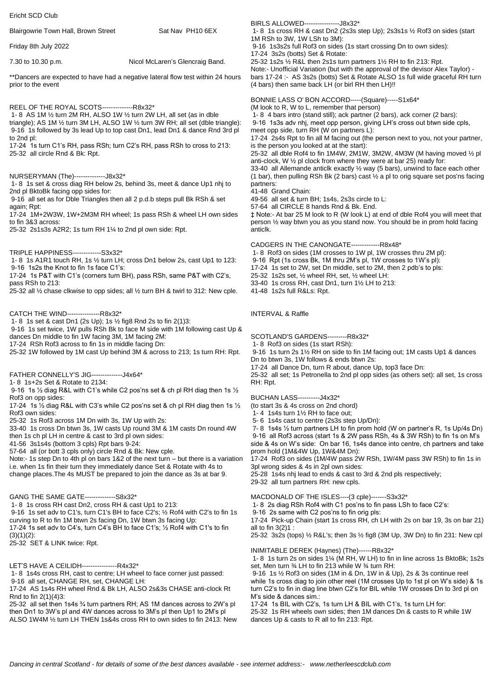Ericht SCD Club Blairgowrie Town Hall, Brown Street Sat Nav PH10 6EX Friday 8th July 2022 7.30 to 10.30 p.m. Nicol McLaren's Glencraig Band. \*\*Dancers are expected to have had a negative lateral flow test within 24 hours prior to the event REEL OF THE ROYAL SCOTS--------------R8x32\* 1- 8 AS 1M ½ turn 2M RH, ALSO 1W ½ turn 2W LH, all set (as in dble triangle); AS 1M ½ turn 3M LH, ALSO 1W ½ turn 3W RH; all set (dble triangle): 9-16 1s followed by 3s lead Up to top cast Dn1, lead Dn1 & dance Rnd 3rd pl to 2nd pl: 17-24 1s turn C1's RH, pass RSh; turn C2's RH, pass RSh to cross to 213: 25-32 all circle Rnd & Bk: Rpt. NURSERYMAN (The)--------------J8x32\* 1- 8 1s set & cross diag RH below 2s, behind 3s, meet & dance Up1 nhj to 2nd pl BktoBk facing opp sides for: 9-16 all set as for Dble Triangles then all 2 p.d.b steps pull Bk RSh & set again; Rpt: 17-24 1M+2W3W, 1W+2M3M RH wheel; 1s pass RSh & wheel LH own sides to fin 3&3 across: 25-32 2s1s3s A2R2; 1s turn RH 1¼ to 2nd pl own side: Rpt. TRIPLE HAPPINESS-------------S3x32\* 1- 8 1s A1R1 touch RH, 1s ½ turn LH; cross Dn1 below 2s, cast Up1 to 123: 9-16 1s2s the Knot to fin 1s face C1's: 17-24 1s P&T with C1's (corners turn BH), pass RSh, same P&T with C2's, pass RSh to 213: 25-32 all ½ chase clkwise to opp sides; all ½ turn BH & twirl to 312: New cple. CATCH THE WIND---------------R8x32\* 1- 8 1s set & cast Dn1 (2s Up); 1s ½ fig8 Rnd 2s to fin 2(1)3: 9-16 1s set twice, 1W pulls RSh Bk to face M side with 1M following cast Up & dances Dn middle to fin 1W facing 3M, 1M facing 2M: 17-24 RSh Rof3 across to fin 1s in middle facing Dn: 25-32 1W followed by 1M cast Up behind 3M & across to 213; 1s turn RH: Rpt. FATHER CONNELLY'S JIG--------------J4x64\* 1- 8 1s+2s Set & Rotate to 2134: 9-16 1s ½ diag R&L with C1's while C2 pos'ns set & ch pl RH diag then 1s ½ Rof3 on opp sides: 17-24 1s  $\frac{1}{2}$  diag R&L with C3's while C2 pos'ns set & ch pl RH diag then 1s  $\frac{1}{2}$ Rof3 own sides: 25-32 1s Rof3 across 1M Dn with 3s, 1W Up with 2s: 33-40 1s cross Dn btwn 3s, 1W casts Up round 3M & 1M casts Dn round 4W then 1s ch pl LH in centre & cast to 3rd pl own sides: 41-56 3s1s4s (bottom 3 cpls) Rpt bars 9-24: 57-64 all (or bott 3 cpls only) circle Rnd & Bk: New cple. Note:- 1s step Dn to 4th pl on bars 1&2 of the next turn – but there is a variation i.e. when 1s fin their turn they immediately dance Set & Rotate with 4s to change places.The 4s MUST be prepared to join the dance as 3s at bar 9. BIRLS ALLOWED----------------J8x32\* 1- 8 1s cross RH & cast Dn2 (2s3s step Up); 2s3s1s ½ Rof3 on sides (start 1M RSh to 3W, 1W LSh to 3M): 9-16 1s3s2s full Rof3 on sides (1s start crossing Dn to own sides): 17-24 3s2s (botts) Set & Rotate: 25-32 1s2s ½ R&L then 2s1s turn partners 1½ RH to fin 213: Rpt. Note:- Unofficial Variation (but with the approval of the devisor Alex Taylor) bars 17-24 :- AS 3s2s (botts) Set & Rotate ALSO 1s full wide graceful RH turn (4 bars) then same back LH (or birl RH then LH)!! BONNIE LASS O' BON ACCORD-----(Square)-----S1x64\* (M look to R, W to L, remember that person) 1- 8 4 bars intro (stand still); ack partner (2 bars), ack corner (2 bars): 9-16 1s3s adv nhj, meet opp person, giving LH's cross out btwn side cpls, meet opp side, turn RH (W on partners L): 17-24 2s4s Rpt to fin all M facing out (the person next to you, not your partner, is the person you looked at at the start): 25-32 all dble Rof4 to fin 1M4W, 2M1W, 3M2W, 4M3W (M having moved ½ pl anti-clock, W  $\frac{1}{2}$  pl clock from where they were at bar 25) ready for: 33-40 all Allemande anticlk exactly ½ way (5 bars), unwind to face each other (1 bar), then pulling RSh Bk (2 bars) cast ½ a pl to orig square set pos'ns facing partners: 41-48 Grand Chain: 49-56 all set & turn BH; 1s4s, 2s3s circle to L: 57-64 all CIRCLE 8 hands Rnd & Bk. End. ‡ Note:- At bar 25 M look to R (W look L) at end of dble Rof4 you will meet that person ½ way btwn you as you stand now. You should be in prom hold facing anticlk. CADGERS IN THE CANONGATE-------------R8x48\* 1- 8 Rof3 on sides (1M crosses to 1W pl, 1W crosses thru 2M pl): 9-16 Rpt (1s cross Bk, 1M thru 2M's pl, 1W crosses to 1W's pl): 17-24 1s set to 2W, set Dn middle, set to 2M, then 2 pdb's to pls: 25-32 1s2s set, ½ wheel RH, set, ½ wheel LH: 33-40 1s cross RH, cast Dn1, turn 1½ LH to 213: 41-48 1s2s full R&Ls: Rpt. INTERVAL & Raffle SCOTLAND'S GARDENS---------R8x32\* 1- 8 Rof3 on sides (1s start RSh): 9-16 1s turn 2s 1½ RH on side to fin 1M facing out; 1M casts Up1 & dances Dn to btwn 3s, 1W follows & ends btwn 2s: 17-24 all Dance Dn, turn R about, dance Up, top3 face Dn: 25-32 all set; 1s Petronella to 2nd pl opp sides (as others set): all set, 1s cross RH: Rpt. BUCHAN LASS----------J4x32\* (to start 3s & 4s cross on 2nd chord) 1- 4 1s4s turn 1½ RH to face out; 5- 6 1s4s cast to centre (2s3s step Up/Dn): 7- 8 1s4s ½ turn partners LH to fin prom hold (W on partner's R, 1s Up/4s Dn) 9-16 all Rof3 across (start 1s & 2W pass RSh, 4s & 3W RSh) to fin 1s on M's side & 4s on W's side: On bar 16, 1s4s dance into centre, ch partners and take prom hold (1M&4W Up, 1W&4M Dn): 17-24 Rof3 on sides (1M/4W pass 2W RSh, 1W/4M pass 3W RSh) to fin 1s in 3pl wrong sides & 4s in 2pl own sides: 25-28 1s4s nhj lead to ends & cast to 3rd & 2nd pls respectively; 29-32 all turn partners RH: new cpls. MACDONALD OF THE ISLES----(3 cple)-------S3x32\*

GANG THE SAME GATE--------------S8x32\*

1- 8 1s cross RH cast Dn2, cross RH & cast Up1 to 213: 9-16 1s set adv to C1's, turn C1's BH to face C2's; ½ Rof4 with C2's to fin 1s curving to R to fin 1M btwn 2s facing Dn, 1W btwn 3s facing Up: 17-24 1s set adv to C4's, turn C4's BH to face C1's; ½ Rof4 with C1's to fin

 $(3)(1)(2)$ : 25-32 SET & LINK twice: Rpt.

## LET'S HAVE A CEILIDH----------------R4x32\*

1- 8 1s4s cross RH, cast to centre; LH wheel to face corner just passed: 9-16 all set, CHANGE RH, set, CHANGE LH:

17-24 AS 1s4s RH wheel Rnd & Bk LH, ALSO 2s&3s CHASE anti-clock Rt Rnd to fin 2(1)(4)3:

25-32 all set then 1s4s ¾ turn partners RH; AS 1M dances across to 2W's pl then Dn1 to 3W's pl and 4W dances across to 3M's pl then Up1 to 2M's pl ALSO 1W4M ½ turn LH THEN 1s&4s cross RH to own sides to fin 2413: New

25-32 1s RH wheels own sides; then 1M dances Dn & casts to R while 1W dances Up & casts to R all to fin 213: Rpt.

17-24 1s BIL with C2's, 1s turn LH & BIL with C1's, 1s turn LH for:

1- 8 2s diag RSh Rof4 with C1 pos'ns to fin pass LSh to face C2's:

17-24 Pick-up Chain (start 1s cross RH, ch LH with 2s on bar 19, 3s on bar 21)

25-32 3s2s (tops) ½ R&L's; then 3s ½ fig8 (3M Up, 3W Dn) to fin 231: New cpl

1- 8 1s turn 2s on sides 1¼ (M RH, W LH) to fin in line across 1s BktoBk; 1s2s

9-16 1s ½ Rof3 on sides (1M in & Dn, 1W in & Up), 2s & 3s continue reel while 1s cross diag to join other reel (1M crosses Up to 1st pl on W's side) & 1s turn C2's to fin in diag line btwn C2's for BIL while 1W crosses Dn to 3rd pl on

9-16 2s same with C2 pos'ns to fin orig pls:

INIMITABLE DEREK (Haynes) (The)------R8x32\*

set, Men turn ¾ LH to fin 213 while W ¾ turn RH:

all to fin 3(2)1 :

M's side & dances sim.: